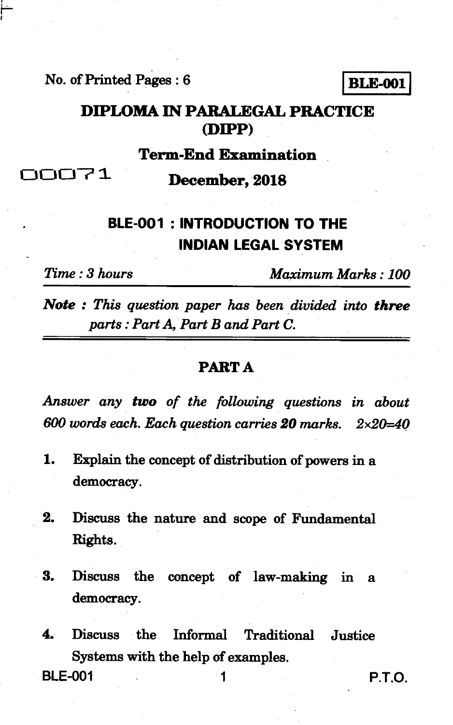**No. of Printed Pages : 6 I BLE-001 <sup>I</sup>**

**DIPLOMA IN PARALEGAL PRACTICE (DIPP)** 

**Term-End Examination** 

**rated becomber, 2018** 

# **BLE-001 : INTRODUCTION TO THE INDIAN LEGAL SYSTEM**

*Time : 3 hours Maximum Marks : 100* 

*Note : This question paper has been divided into three parts : Part A, Part B and Part C.* 

#### **PART A**

*Answer any two of the following questions in about 600 words each. Each question carries 20 marks. 2x20=40* 

- **1. Explain the concept of distribution of powers in a democracy.**
- **2. Discuss the nature and scope of Fundamental Rights.**
- **3. Discuss the concept of law-making in a democracy.**

**4. Discuss the Informal Traditional Justice Systems with the help of examples. BLE-001 1 P.T.O.**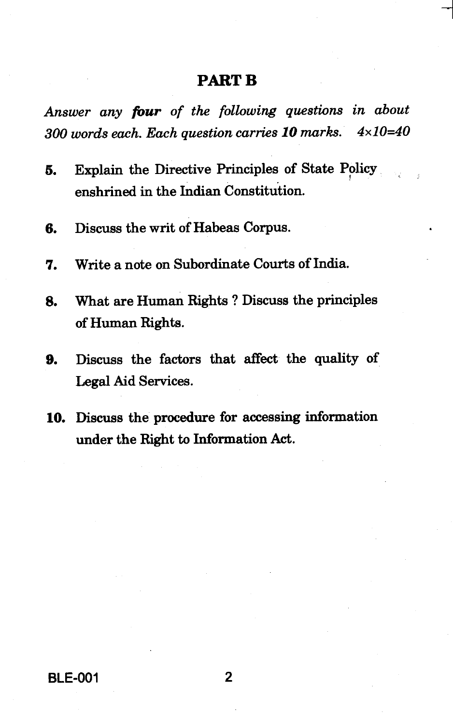### **PART B**

*Answer any four of the following questions in about 300 words each. Each question carries 10 marks. 4x10=40* 

- **5. Explain the Directive Principles of State Policy enshrined in the Indian Constitution.**
- **6. Discuss the writ of Habeas Corpus.**
- **7. Write a note on Subordinate Courts of India.**
- **8. What are Human Rights ? Discuss the principles of Human Rights.**
- **9. Discuss the factors that affect the quality of Legal Aid Services.**
- **10. Discuss the procedure for accessing information under the Right to Information Act.**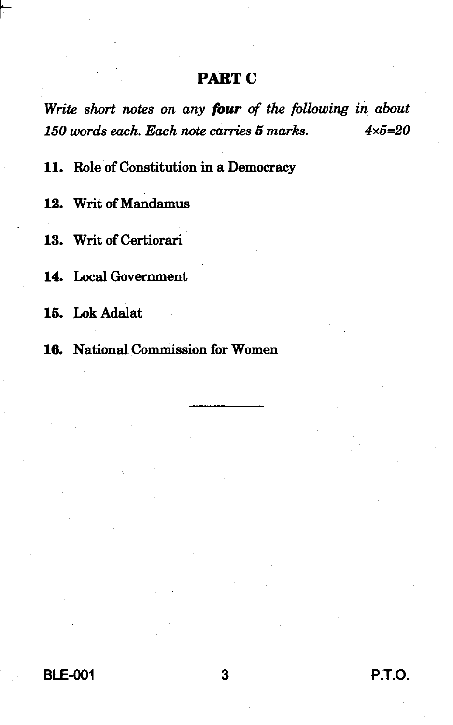### **PART C**

*Write short notes on any four of the following in about 150 words each. Each note carries* **5** *marks. 4x5=20* 

**11. Role of Constitution in a Democracy** 

**12. Writ of Mandamus** 

**13. Writ of Certiorari** 

**14. Local Government** 

**15. Lok Adalat** 

**16. National Commission for Women** 

**BLE-001 3 P.T.O.**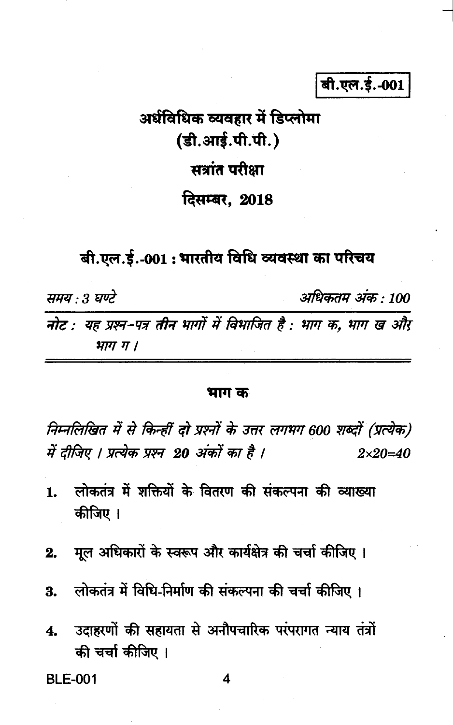बी.एल.ई.-001

# अर्धविधिक व्यवहार में डिप्लोमा (डी.आई.पी.पी.) सत्रांत परीक्षा

## दिसम्बर. 2018

## बी.एल.ई.-001 : भारतीय विधि व्यवस्था का परिचय

अधिकतम अंक : 100 ममय २३ घण्टे नोट : यह प्रश्न-पत्र तीन भागों में विभाजित है : भाग क. भाग ख और भाग ग ।

#### भाग क

निम्नलिखित में से किन्हीं दो प्रश्नों के उत्तर लगभग 600 शब्दों (प्रत्येक) में दीजिए । प्रत्येक प्रश्न 20 अंकों का है ।  $2 \times 20 = 40$ 

- लोकतंत्र में शक्तियों के वितरण की संकल्पना की व्याख्या  $\mathbf{1}$ कीजिए ।
- मूल अधिकारों के स्वरूप और कार्यक्षेत्र की चर्चा कीजिए । 2.
- लोकतंत्र में विधि-निर्माण की संकल्पना की चर्चा कीजिए। 3.
- उदाहरणों की सहायता से अनौपचारिक परंपरागत न्याय तंत्रों  $\mathbf{4}$ की चर्चा कीजिए ।

**BLE-001**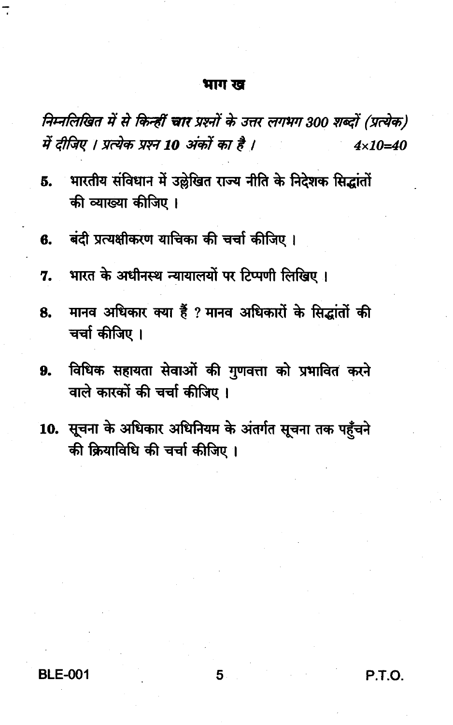#### भाग ख

निम्नलिखित में से किन्हीं चार प्रश्नों के उत्तर लगभग 300 शब्दों (प्रत्येक) में दीजिए । प्रत्येक प्रश्न 10 अंकों का है ।  $4 \times 10 = 40$ 

- भारतीय संविधान में उल्लेखित राज्य नीति के निदेशक सिद्धांतों 5. की व्याख्या कीजिए ।
- बंदी प्रत्यक्षीकरण याचिका की चर्चा कीजिए । ß.
- भारत के अधीनस्थ न्यायालयों पर टिप्पणी लिखिए। 7.
- मानव अधिकार क्या हैं ? मानव अधिकारों के सिद्धांतों की 8. चर्चा कीजिए ।
- विधिक सहायता सेवाओं की गणवत्ता को प्रभावित करने 9. वाले कारकों की चर्चा कीजिए।
- 10. सूचना के अधिकार अधिनियम के अंतर्गत सूचना तक पहुँचने की क्रियाविधि की चर्चा कीजिए ।